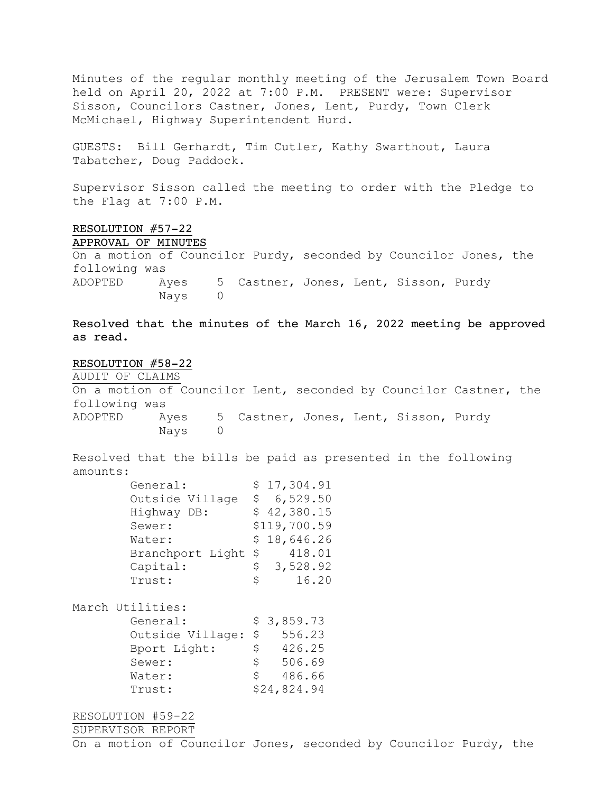Minutes of the regular monthly meeting of the Jerusalem Town Board held on April 20, 2022 at 7:00 P.M. PRESENT were: Supervisor Sisson, Councilors Castner, Jones, Lent, Purdy, Town Clerk McMichael, Highway Superintendent Hurd.

GUESTS: Bill Gerhardt, Tim Cutler, Kathy Swarthout, Laura Tabatcher, Doug Paddock.

Supervisor Sisson called the meeting to order with the Pledge to the Flag at 7:00 P.M.

## RESOLUTION #57-22

APPROVAL OF MINUTES

On a motion of Councilor Purdy, seconded by Councilor Jones, the following was ADOPTED Ayes 5 Castner, Jones, Lent, Sisson, Purdy Nays 0

Resolved that the minutes of the March 16, 2022 meeting be approved as read.

RESOLUTION #58-22 AUDIT OF CLAIMS On a motion of Councilor Lent, seconded by Councilor Castner, the following was ADOPTED Ayes 5 Castner, Jones, Lent, Sisson, Purdy Nays 0

Resolved that the bills be paid as presented in the following amounts:  $\frac{1}{2}$   $\frac{1}{2}$   $\frac{1}{2}$   $\frac{1}{2}$   $\frac{1}{2}$   $\frac{1}{2}$   $\frac{1}{2}$   $\frac{1}{2}$   $\frac{1}{2}$   $\frac{1}{2}$ 

| General:            |    | \$17,304.91  |
|---------------------|----|--------------|
| Outside Village     | S. | 6,529.50     |
| Highway DB:         |    | \$42,380.15  |
| Sewer:              |    | \$119,700.59 |
| Water:              |    | \$18,646.26  |
| Branchport Light \$ |    | 418.01       |
| Capital:            | \$ | 3,528.92     |
| Trust:              | Ŝ. | 16.20        |
|                     |    |              |

March Utilities:

| General:         |    | \$3,859.73  |
|------------------|----|-------------|
| Outside Village: | \$ | 556.23      |
| Bport Light:     | \$ | 426.25      |
| Sewer:           | Ŝ. | 506.69      |
| Water:           | S. | 486.66      |
| Trust:           |    | \$24,824.94 |

RESOLUTION #59-22

SUPERVISOR REPORT

On a motion of Councilor Jones, seconded by Councilor Purdy, the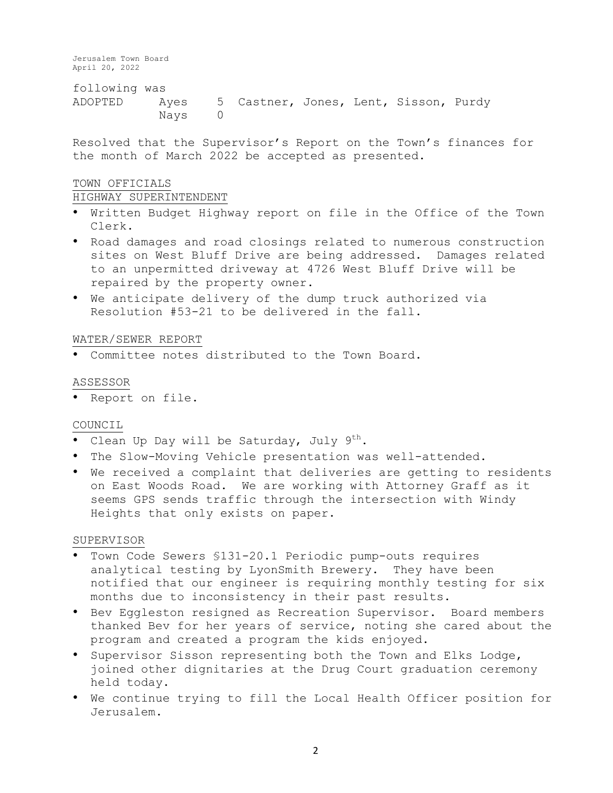following was ADOPTED Ayes 5 Castner, Jones, Lent, Sisson, Purdy Nays 0

Resolved that the Supervisor's Report on the Town's finances for the month of March 2022 be accepted as presented.

# TOWN OFFICIALS

#### HIGHWAY SUPERINTENDENT

- Written Budget Highway report on file in the Office of the Town Clerk.
- Road damages and road closings related to numerous construction sites on West Bluff Drive are being addressed. Damages related to an unpermitted driveway at 4726 West Bluff Drive will be repaired by the property owner.
- We anticipate delivery of the dump truck authorized via Resolution #53-21 to be delivered in the fall.

## WATER/SEWER REPORT

• Committee notes distributed to the Town Board.

#### ASSESSOR

• Report on file.

## COUNCIL

- Clean Up Day will be Saturday, July 9<sup>th</sup>.
- The Slow-Moving Vehicle presentation was well-attended.
- We received a complaint that deliveries are getting to residents on East Woods Road. We are working with Attorney Graff as it seems GPS sends traffic through the intersection with Windy Heights that only exists on paper.

#### SUPERVISOR

- Town Code Sewers §131-20.1 Periodic pump-outs requires analytical testing by LyonSmith Brewery. They have been notified that our engineer is requiring monthly testing for six months due to inconsistency in their past results.
- Bev Eggleston resigned as Recreation Supervisor. Board members thanked Bev for her years of service, noting she cared about the program and created a program the kids enjoyed.
- Supervisor Sisson representing both the Town and Elks Lodge, joined other dignitaries at the Drug Court graduation ceremony held today.
- We continue trying to fill the Local Health Officer position for Jerusalem.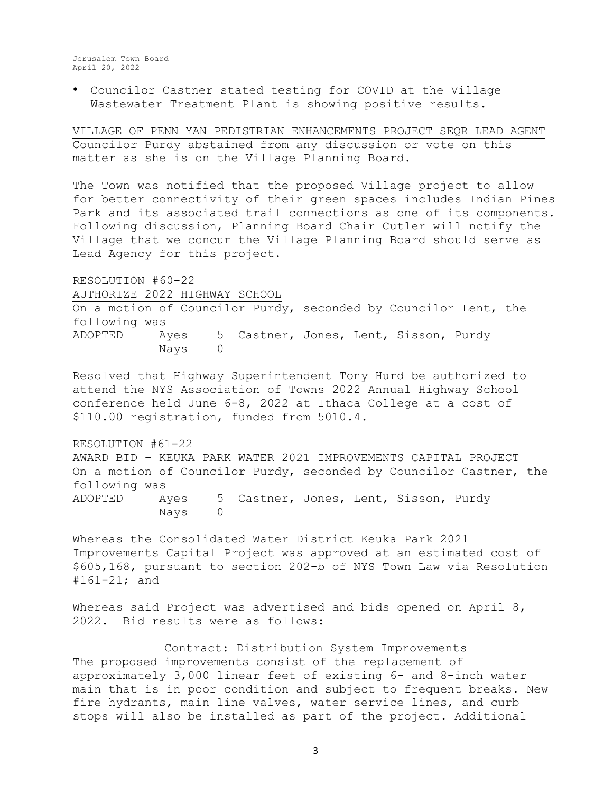• Councilor Castner stated testing for COVID at the Village Wastewater Treatment Plant is showing positive results.

VILLAGE OF PENN YAN PEDISTRIAN ENHANCEMENTS PROJECT SEQR LEAD AGENT Councilor Purdy abstained from any discussion or vote on this matter as she is on the Village Planning Board.

The Town was notified that the proposed Village project to allow for better connectivity of their green spaces includes Indian Pines Park and its associated trail connections as one of its components. Following discussion, Planning Board Chair Cutler will notify the Village that we concur the Village Planning Board should serve as Lead Agency for this project.

RESOLUTION #60-22 AUTHORIZE 2022 HIGHWAY SCHOOL

On a motion of Councilor Purdy, seconded by Councilor Lent, the following was ADOPTED Ayes 5 Castner, Jones, Lent, Sisson, Purdy Nays 0

Resolved that Highway Superintendent Tony Hurd be authorized to attend the NYS Association of Towns 2022 Annual Highway School conference held June 6-8, 2022 at Ithaca College at a cost of \$110.00 registration, funded from 5010.4.

RESOLUTION #61-22

AWARD BID – KEUKA PARK WATER 2021 IMPROVEMENTS CAPITAL PROJECT On a motion of Councilor Purdy, seconded by Councilor Castner, the following was ADOPTED Ayes 5 Castner, Jones, Lent, Sisson, Purdy Nays 0

Whereas the Consolidated Water District Keuka Park 2021 Improvements Capital Project was approved at an estimated cost of \$605,168, pursuant to section 202-b of NYS Town Law via Resolution #161-21; and

Whereas said Project was advertised and bids opened on April 8, 2022. Bid results were as follows:

Contract: Distribution System Improvements The proposed improvements consist of the replacement of approximately 3,000 linear feet of existing 6- and 8-inch water main that is in poor condition and subject to frequent breaks. New fire hydrants, main line valves, water service lines, and curb stops will also be installed as part of the project. Additional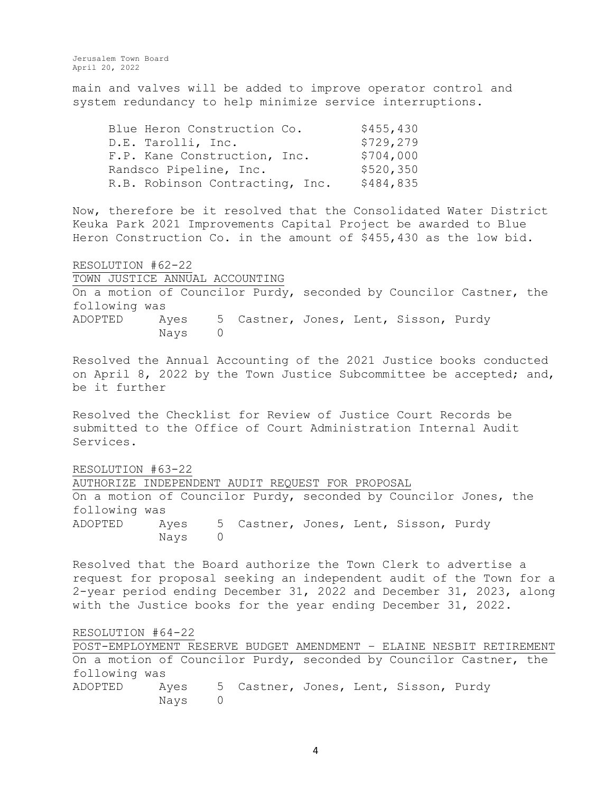main and valves will be added to improve operator control and system redundancy to help minimize service interruptions.

| Blue Heron Construction Co.     | \$455,430 |
|---------------------------------|-----------|
| D.E. Tarolli, Inc.              | \$729,279 |
| F.P. Kane Construction, Inc.    | \$704,000 |
| Randsco Pipeline, Inc.          | \$520,350 |
| R.B. Robinson Contracting, Inc. | \$484,835 |

Now, therefore be it resolved that the Consolidated Water District Keuka Park 2021 Improvements Capital Project be awarded to Blue Heron Construction Co. in the amount of \$455,430 as the low bid.

RESOLUTION #62-22 TOWN JUSTICE ANNUAL ACCOUNTING On a motion of Councilor Purdy, seconded by Councilor Castner, the following was ADOPTED Ayes 5 Castner, Jones, Lent, Sisson, Purdy Nays 0

Resolved the Annual Accounting of the 2021 Justice books conducted on April 8, 2022 by the Town Justice Subcommittee be accepted; and, be it further

Resolved the Checklist for Review of Justice Court Records be submitted to the Office of Court Administration Internal Audit Services.

RESOLUTION #63-22

AUTHORIZE INDEPENDENT AUDIT REQUEST FOR PROPOSAL On a motion of Councilor Purdy, seconded by Councilor Jones, the following was ADOPTED Ayes 5 Castner, Jones, Lent, Sisson, Purdy Nays 0

Resolved that the Board authorize the Town Clerk to advertise a request for proposal seeking an independent audit of the Town for a 2-year period ending December 31, 2022 and December 31, 2023, along with the Justice books for the year ending December 31, 2022.

RESOLUTION #64-22

POST-EMPLOYMENT RESERVE BUDGET AMENDMENT – ELAINE NESBIT RETIREMENT On a motion of Councilor Purdy, seconded by Councilor Castner, the following was ADOPTED Ayes 5 Castner, Jones, Lent, Sisson, Purdy Nays 0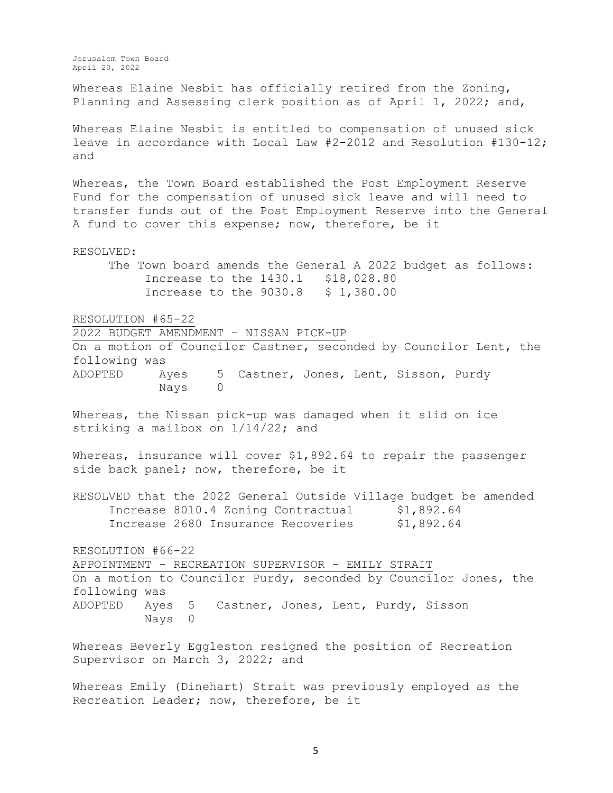Whereas Elaine Nesbit has officially retired from the Zoning, Planning and Assessing clerk position as of April 1, 2022; and,

Whereas Elaine Nesbit is entitled to compensation of unused sick leave in accordance with Local Law #2-2012 and Resolution #130-12; and

Whereas, the Town Board established the Post Employment Reserve Fund for the compensation of unused sick leave and will need to transfer funds out of the Post Employment Reserve into the General A fund to cover this expense; now, therefore, be it

RESOLVED: The Town board amends the General A 2022 budget as follows: Increase to the 1430.1 \$18,028.80 Increase to the 9030.8 \$ 1,380.00

RESOLUTION #65-22

2022 BUDGET AMENDMENT – NISSAN PICK-UP

On a motion of Councilor Castner, seconded by Councilor Lent, the following was ADOPTED Ayes 5 Castner, Jones, Lent, Sisson, Purdy

Nays 0

Whereas, the Nissan pick-up was damaged when it slid on ice striking a mailbox on 1/14/22; and

Whereas, insurance will cover \$1,892.64 to repair the passenger side back panel; now, therefore, be it

RESOLVED that the 2022 General Outside Village budget be amended Increase 8010.4 Zoning Contractual \$1,892.64 Increase 2680 Insurance Recoveries \$1,892.64

RESOLUTION #66-22

APPOINTMENT – RECREATION SUPERVISOR – EMILY STRAIT On a motion to Councilor Purdy, seconded by Councilor Jones, the following was ADOPTED Ayes 5 Castner, Jones, Lent, Purdy, Sisson Nays 0

Whereas Beverly Eggleston resigned the position of Recreation Supervisor on March 3, 2022; and

Whereas Emily (Dinehart) Strait was previously employed as the Recreation Leader; now, therefore, be it